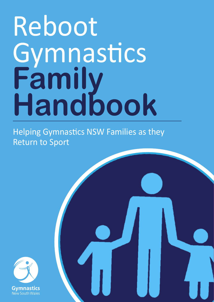## Reboot Gymnastics **Family Handbook**

Helping Gymnastics NSW Families as they Return to Sport

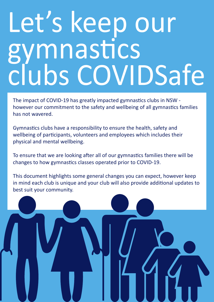## Let's keep our gymnastics clubs COVIDSafe

The impact of COVID-19 has greatly impacted gymnastics clubs in NSW however our commitment to the safety and wellbeing of all gymnastics families has not wavered.

Gymnastics clubs have a responsibility to ensure the health, safety and wellbeing of participants, volunteers and employees which includes their physical and mental wellbeing.

To ensure that we are looking after all of our gymnastics families there will be changes to how gymnastics classes operated prior to COVID-19.

This document highlights some general changes you can expect, however keep in mind each club is unique and your club will also provide additional updates to best suit your community.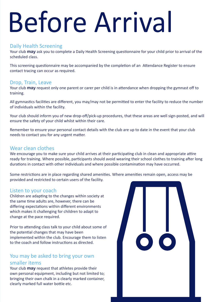# Before Arrival

### Daily Health Screening

Your club **may** ask you to complete a Daily Health Screening questionnaire for your child prior to arrival of the scheduled class.

This screening questionnaire may be accompanied by the completion of an Attendance Register to ensure contact tracing can occur as required.

#### Drop, Train, Leave

Your club **may** request only one parent or carer per child is in attendance when dropping the gymnast off to training.

All gymnastics facilities are different, you may/may not be permitted to enter the facility to reduce the number of individuals within the facility.

Your club should inform you of new drop-off/pick-up procedures, that these areas are well sign-posted, and will ensure the safety of your child whilst within their care.

Remember to ensure your personal contact details with the club are up to date in the event that your club needs to contact you for any urgent matter.

### Wear clean clothes

We encourage you to make sure your child arrives at their participating club in clean and appropriate attire ready for training. Where possible, participants should avoid wearing their school clothes to training after long durations in contact with other individuals and where possible contamination may have occurred.

Some restrictions are in place regarding shared amenities. Where amenities remain open, access may be provided and restricted to certain users of the facility.

#### Listen to your coach

Children are adapting to the changes within society at the same time adults are, however, there can be differing expectations within different environments which makes it challenging for children to adapt to change at the pace required.

Prior to attending class talk to your child about some of the potential changes that may have been implemented within the club. Encourage them to listen to the coach and follow instructions as directed.

### You may be asked to bring your own smaller items

Your club **may** request that athletes provide their own personal equipment, including but not limited to; bringing their own chalk in a clearly marked container, clearly marked full water bottle etc.

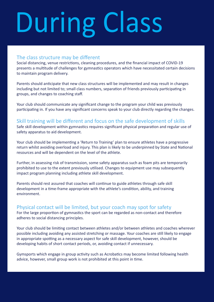# During Class

### The class structure may be different

Social distancing, venue restrictions, cleaning procedures, and the financial impact of COVID-19 presents a multitude of challenges for gymnastics operators which have necessitated certain decisions to maintain program delivery.

Parents should anticipate that new class structures will be implemented and may result in changes including but not limited to; small class numbers, separation of friends previously participating in groups, and changes to coaching staff.

Your club should communicate any significant change to the program your child was previously participating in. If you have any significant concerns speak to your club directly regarding the changes.

### Skill training will be different and focus on the safe development of skills

Safe skill development within gymnastics requires significant physical preparation and regular use of safety apparatus to aid development.

Your club should be implementing a 'Return to Training' plan to ensure athletes have a progressive return whilst avoiding overload and injury. This plan is likely to be underpinned by State and National resources and will be dependent on the level of the athlete.

Further, in assessing risk of transmission, some safety apparatus such as foam pits are temporarily prohibited to use to the extent previously utilised. Changes to equipment use may subsequently impact program planning including athlete skill development.

Parents should rest assured that coaches will continue to guide athletes through safe skill development in a time-frame appropriate with the athlete's condition, ability, and training environment.

### Physical contact will be limited, but your coach may spot for safety

For the large proportion of gymnastics the sport can be regarded as non-contact and therefore adheres to social distancing principles.

Your club should be limiting contact between athletes and/or between athletes and coaches wherever possible including avoiding any assisted stretching or massage. Your coaches are still likely to engage in appropriate spotting as a necessary aspect for safe skill development, however, should be developing habits of short contact periods, or, avoiding contact if unnecessary.

Gymsports which engage in group activity such as Acrobatics may become limited following health advice, however, small group work is not prohibited at this point in time.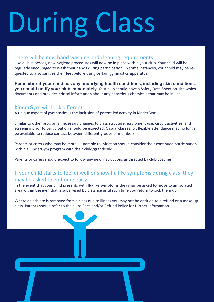# During Class

### There will be new hand washing and cleaning requirements

Like all businesses, new hygiene procedures will now be in place within your club. Your child will be regularly encouraged to wash their hands during participation. In some instances, your child may be requested to also sanitise their feet before using certain gymnastics apparatus.

**Remember if your child has any underlying health conditions, including skin conditions, you should notify your club immediately.** Your club should have a Safety Data Sheet on-site which documents and provides critical information about any hazardous chemicals that may be in use.

### KinderGym will look different

A unique aspect of gymnastics is the inclusion of parent-led activity in KinderGym.

Similar to other programs, necessary changes to class structure, equipment use, circuit activities, and screening prior to participation should be expected. Casual classes, or, flexible attendance may no longer be available to reduce contact between different groups of members.

Parents or carers who may be more vulnerable to infection should consider their continued participation within a KinderGym program with their child/grandchild.

Parents or carers should expect to follow any new instructions as directed by club coaches.

### If your child starts to feel unwell or show flu like symptoms during class, they may be asked to go home early

In the event that your child presents with flu-like symptoms they may be asked to move to an isolated area within the gym that is supervised by distance until such time you return to pick them up.

Where an athlete is removed from a class due to illness you may not be entitled to a refund or a make-up class. Parents should refer to the clubs Fees and/or Refund Policy for further information.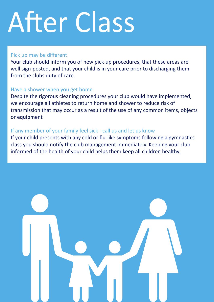# After Class

### Pick up may be different

Your club should inform you of new pick-up procedures, that these areas are well sign-posted, and that your child is in your care prior to discharging them from the clubs duty of care.

### Have a shower when you get home

Despite the rigorous cleaning procedures your club would have implemented, we encourage all athletes to return home and shower to reduce risk of transmission that may occur as a result of the use of any common items, objects or equipment

### If any member of your family feel sick - call us and let us know

If your child presents with any cold or flu-like symptoms following a gymnastics class you should notify the club management immediately. Keeping your club informed of the health of your child helps them keep all children healthy.